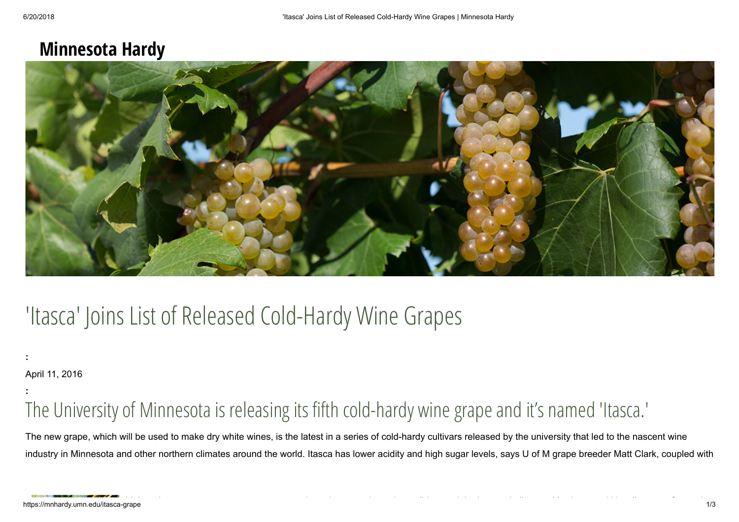## **Minnesota Hardy**



# 'Itasca' Joins List of Released Cold-Hardy Wine Grapes

**:**

April 11, 2016

**:**

# The University of Minnesota is releasing its fifth cold-hardy wine grape and it's named 'Itasca.'

The new grape, which will be used to make dry white wines, is the latest in a series of cold-hardy cultivars released by the university that led to the nascent wine industry in Minnesota and other northern climates around the world. Itasca has lower acidity and high sugar levels, says U of M grape breeder Matt Clark, coupled with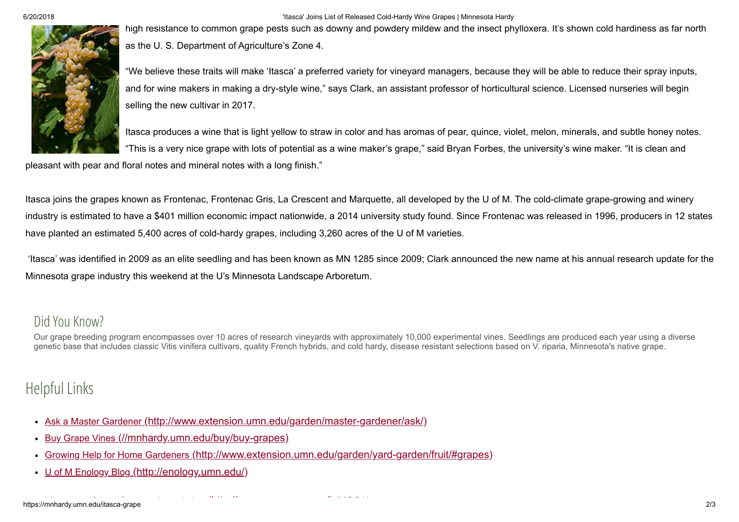6/20/2018 'Itasca' Joins List of Released Cold-Hardy Wine Grapes | Minnesota Hardy

high resistance to common grape pests such as downy and powdery mildew and the insect phylloxera. It's shown cold hardiness as far north as the U. S. Department of Agriculture's Zone 4.

"We believe these traits will make 'Itasca' a preferred variety for vineyard managers, because they will be able to reduce their spray inputs, and for wine makers in making a dry-style wine," says Clark, an assistant professor of horticultural science. Licensed nurseries will begin selling the new cultivar in 2017.

Itasca produces a wine that is light yellow to straw in color and has aromas of pear, quince, violet, melon, minerals, and subtle honey notes. "This is a very nice grape with lots of potential as a wine maker's grape," said Bryan Forbes, the university's wine maker. "It is clean and

pleasant with pear and floral notes and mineral notes with a long finish."

Itasca joins the grapes known as Frontenac, Frontenac Gris, La Crescent and Marquette, all developed by the U of M. The cold-climate grape-growing and winery industry is estimated to have a \$401 million economic impact nationwide, a 2014 university study found. Since Frontenac was released in 1996, producers in 12 states have planted an estimated 5,400 acres of cold-hardy grapes, including 3,260 acres of the U of M varieties.

'Itasca' was identified in 2009 as an elite seedling and has been known as MN 1285 since 2009; Clark announced the new name at his annual research update for the Minnesota grape industry this weekend at the U's Minnesota Landscape Arboretum.

#### Did You Know?

Our grape breeding program encompasses over 10 acres of research vineyards with approximately 10,000 experimental vines. Seedlings are produced each year using a diverse genetic base that includes classic Vitis vinifera cultivars, quality French hybrids, and cold hardy, disease resistant selections based on V. riparia, Minnesota's native grape.

### Helpful Links

- Ask a Master Gardener [\(http://www.extension.umn.edu/garden/master-gardener/ask/\)](http://www.extension.umn.edu/garden/master-gardener/ask/)  $\bullet$
- Buy Grape Vines [\(//mnhardy.umn.edu/buy/buy-grapes\)](https://mnhardy.umn.edu/buy/buy-grapes)  $\bullet$
- Growing Help for Home Gardeners [\(http://www.extension.umn.edu/garden/yard-garden/fruit/#grapes\)](http://www.extension.umn.edu/garden/yard-garden/fruit/#grapes)  $\bullet$
- U of M Enology Blog [\(http://enology.umn.edu/\)](http://enology.umn.edu/)